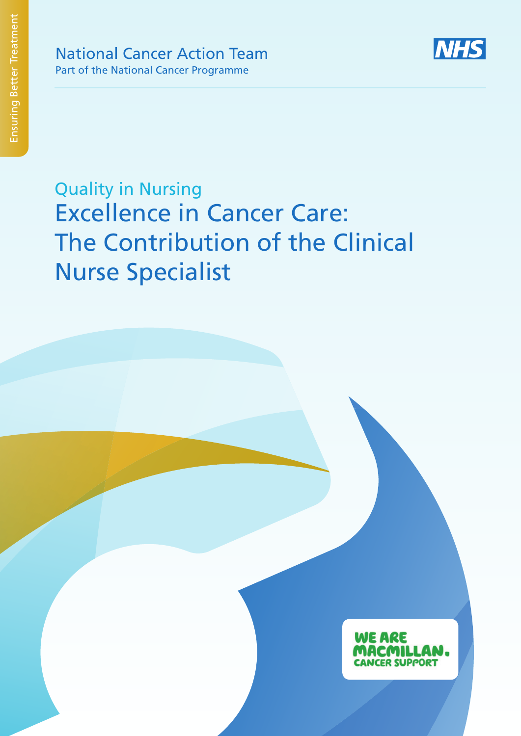

Quality in Nursing Excellence in Cancer Care: The Contribution of the Clinical Nurse Specialist

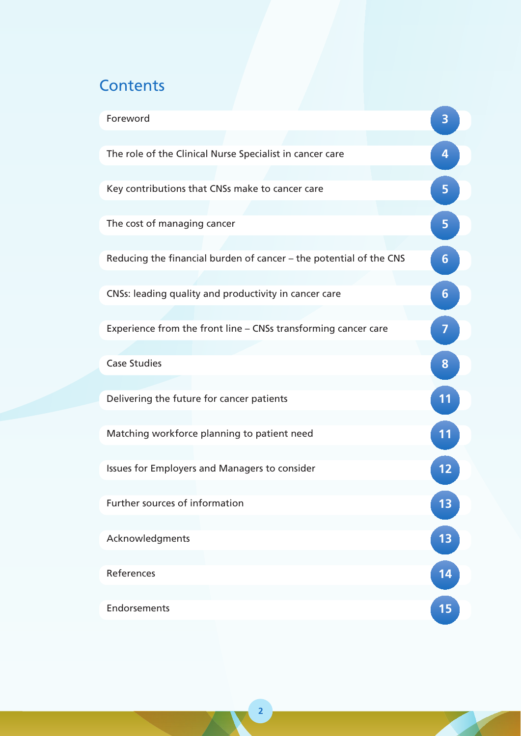# **Contents**

| Foreword                                                           |    |
|--------------------------------------------------------------------|----|
|                                                                    |    |
| The role of the Clinical Nurse Specialist in cancer care           | 4  |
| Key contributions that CNSs make to cancer care                    | 5  |
| The cost of managing cancer                                        | 5  |
| Reducing the financial burden of cancer - the potential of the CNS | 6  |
| CNSs: leading quality and productivity in cancer care              | 6  |
| Experience from the front line - CNSs transforming cancer care     | 7  |
| <b>Case Studies</b>                                                | 8  |
| Delivering the future for cancer patients                          | 11 |
| Matching workforce planning to patient need                        | 11 |
| Issues for Employers and Managers to consider                      |    |
| Further sources of information                                     | 13 |
| Acknowledgments                                                    | 13 |
| References                                                         | 14 |
| Endorsements                                                       | 15 |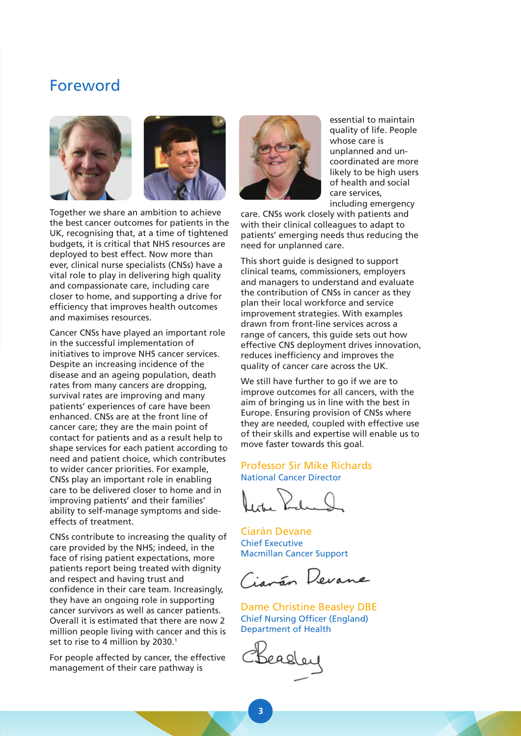## Foreword



Together we share an ambition to achieve the best cancer outcomes for patients in the UK, recognising that, at a time of tightened budgets, it is critical that NHS resources are deployed to best effect. Now more than ever, clinical nurse specialists (CNSs) have a vital role to play in delivering high quality and compassionate care, including care closer to home, and supporting a drive for efficiency that improves health outcomes and maximises resources.

Cancer CNSs have played an important role in the successful implementation of initiatives to improve NHS cancer services. Despite an increasing incidence of the disease and an ageing population, death rates from many cancers are dropping, survival rates are improving and many patients' experiences of care have been enhanced. CNSs are at the front line of cancer care; they are the main point of contact for patients and as a result help to shape services for each patient according to need and patient choice, which contributes to wider cancer priorities. For example, CNSs play an important role in enabling care to be delivered closer to home and in improving patients' and their families' ability to self-manage symptoms and sideeffects of treatment.

CNSs contribute to increasing the quality of care provided by the NHS; indeed, in the face of rising patient expectations, more patients report being treated with dignity and respect and having trust and confidence in their care team. Increasingly, they have an ongoing role in supporting cancer survivors as well as cancer patients. Overall it is estimated that there are now 2 million people living with cancer and this is set to rise to 4 million by 2030.<sup>1</sup>

For people affected by cancer, the effective management of their care pathway is



essential to maintain quality of life. People whose care is unplanned and uncoordinated are more likely to be high users of health and social care services, including emergency

care. CNSs work closely with patients and with their clinical colleagues to adapt to patients' emerging needs thus reducing the need for unplanned care.

This short guide is designed to support clinical teams, commissioners, employers and managers to understand and evaluate the contribution of CNSs in cancer as they plan their local workforce and service improvement strategies. With examples drawn from front-line services across a range of cancers, this guide sets out how effective CNS deployment drives innovation, reduces inefficiency and improves the quality of cancer care across the UK.

We still have further to go if we are to improve outcomes for all cancers, with the aim of bringing us in line with the best in Europe. Ensuring provision of CNSs where they are needed, coupled with effective use of their skills and expertise will enable us to move faster towards this goal.

### Professor Sir Mike Richards National Cancer Director

Ciarán Devane Chief Executive Macmillan Cancer Support

Ciavão Devane

Dame Christine Beasley DBE Chief Nursing Officer (England) Department of Health

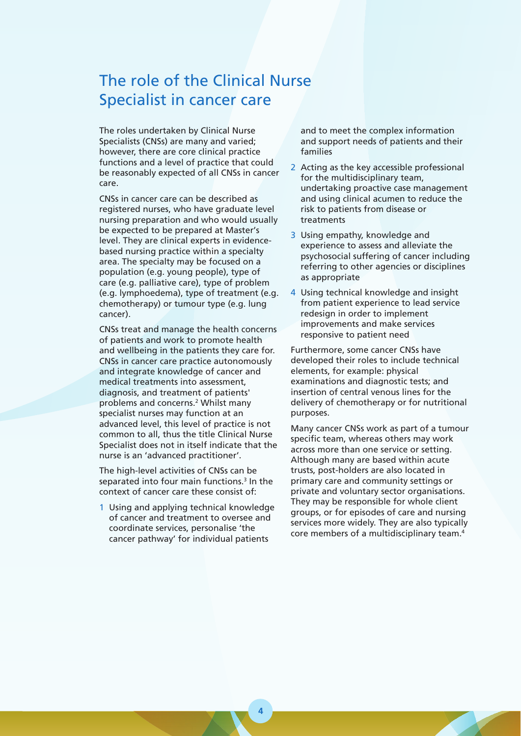## The role of the Clinical Nurse Specialist in cancer care

The roles undertaken by Clinical Nurse Specialists (CNSs) are many and varied; however, there are core clinical practice functions and a level of practice that could be reasonably expected of all CNSs in cancer care.

CNSs in cancer care can be described as registered nurses, who have graduate level nursing preparation and who would usually be expected to be prepared at Master's level. They are clinical experts in evidencebased nursing practice within a specialty area. The specialty may be focused on a population (e.g. young people), type of care (e.g. palliative care), type of problem (e.g. lymphoedema), type of treatment (e.g. chemotherapy) or tumour type (e.g. lung cancer).

CNSs treat and manage the health concerns of patients and work to promote health and wellbeing in the patients they care for. CNSs in cancer care practice autonomously and integrate knowledge of cancer and medical treatments into assessment, diagnosis, and treatment of patients' problems and concerns.<sup>2</sup> Whilst many specialist nurses may function at an advanced level, this level of practice is not common to all, thus the title Clinical Nurse Specialist does not in itself indicate that the nurse is an 'advanced practitioner'.

The high-level activities of CNSs can be separated into four main functions.<sup>3</sup> In the context of cancer care these consist of:

1 Using and applying technical knowledge of cancer and treatment to oversee and coordinate services, personalise 'the cancer pathway' for individual patients

and to meet the complex information and support needs of patients and their families

- 2 Acting as the key accessible professional for the multidisciplinary team, undertaking proactive case management and using clinical acumen to reduce the risk to patients from disease or treatments
- 3 Using empathy, knowledge and experience to assess and alleviate the psychosocial suffering of cancer including referring to other agencies or disciplines as appropriate
- 4 Using technical knowledge and insight from patient experience to lead service redesign in order to implement improvements and make services responsive to patient need

Furthermore, some cancer CNSs have developed their roles to include technical elements, for example: physical examinations and diagnostic tests; and insertion of central venous lines for the delivery of chemotherapy or for nutritional purposes.

Many cancer CNSs work as part of a tumour specific team, whereas others may work across more than one service or setting. Although many are based within acute trusts, post-holders are also located in primary care and community settings or private and voluntary sector organisations. They may be responsible for whole client groups, or for episodes of care and nursing services more widely. They are also typically core members of a multidisciplinary team.4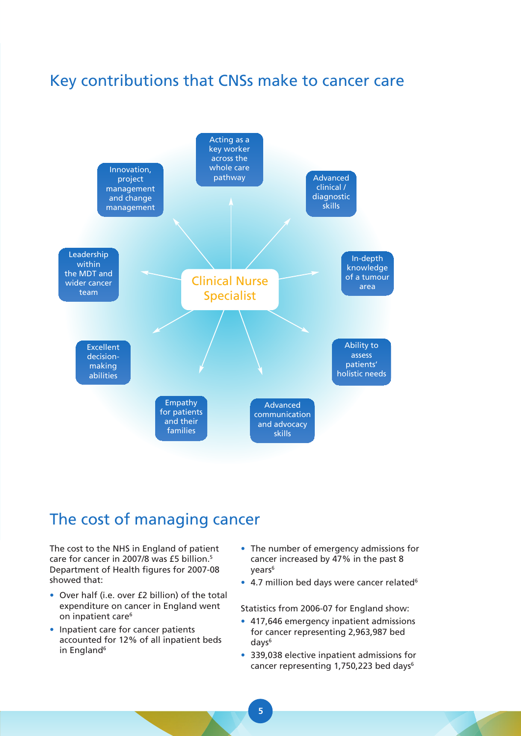## Key contributions that CNSs make to cancer care



## The cost of managing cancer

The cost to the NHS in England of patient care for cancer in 2007/8 was £5 billion.<sup>5</sup> Department of Health figures for 2007-08 showed that:

- Over half (i.e. over £2 billion) of the total expenditure on cancer in England went on inpatient care<sup>6</sup>
- Inpatient care for cancer patients accounted for 12% of all inpatient beds in England<sup>6</sup>
- The number of emergency admissions for cancer increased by 47% in the past 8 years6
- 4.7 million bed days were cancer related<sup>6</sup>

Statistics from 2006-07 for England show:

- 417,646 emergency inpatient admissions for cancer representing 2,963,987 bed days<sup>6</sup>
- 339,038 elective inpatient admissions for cancer representing 1,750,223 bed days<sup>6</sup>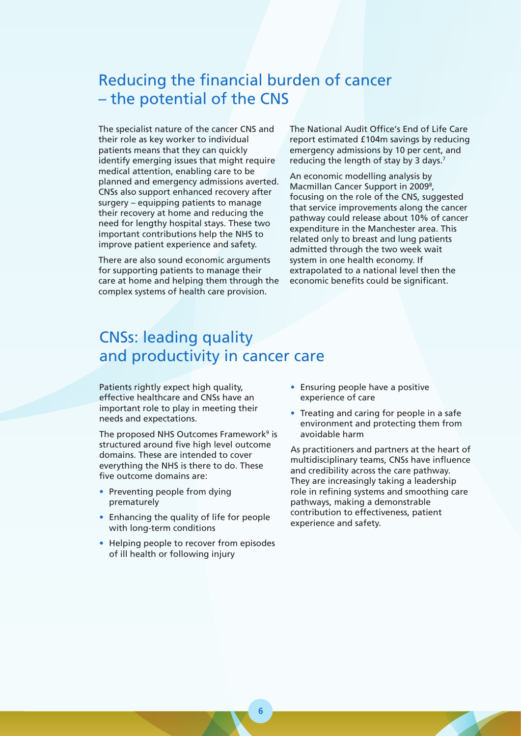## Reducing the financial burden of cancer – the potential of the CNS

The specialist nature of the cancer CNS and their role as key worker to individual patients means that they can quickly identify emerging issues that might require medical attention, enabling care to be planned and emergency admissions averted. CNSs also support enhanced recovery after surgery – equipping patients to manage their recovery at home and reducing the need for lengthy hospital stays. These two important contributions help the NHS to improve patient experience and safety.

There are also sound economic arguments for supporting patients to manage their care at home and helping them through the complex systems of health care provision.

The National Audit Office's End of Life Care report estimated £104m savings by reducing emergency admissions by 10 per cent, and reducing the length of stay by 3 days.<sup>7</sup>

An economic modelling analysis by Macmillan Cancer Support in 2009<sup>8</sup>, focusing on the role of the CNS, suggested that service improvements along the cancer pathway could release about 10% of cancer expenditure in the Manchester area. This related only to breast and lung patients admitted through the two week wait system in one health economy. If extrapolated to a national level then the economic benefits could be significant.

# CNSs: leading quality and productivity in cancer care

Patients rightly expect high quality, effective healthcare and CNSs have an important role to play in meeting their needs and expectations.

The proposed NHS Outcomes Framework<sup>9</sup> is structured around five high level outcome domains. These are intended to cover everything the NHS is there to do. These five outcome domains are:

- Preventing people from dying prematurely
- Enhancing the quality of life for people with long-term conditions
- Helping people to recover from episodes of ill health or following injury
- Ensuring people have a positive experience of care
- Treating and caring for people in a safe environment and protecting them from avoidable harm

As practitioners and partners at the heart of multidisciplinary teams, CNSs have influence and credibility across the care pathway. They are increasingly taking a leadership role in refining systems and smoothing care pathways, making a demonstrable contribution to effectiveness, patient experience and safety.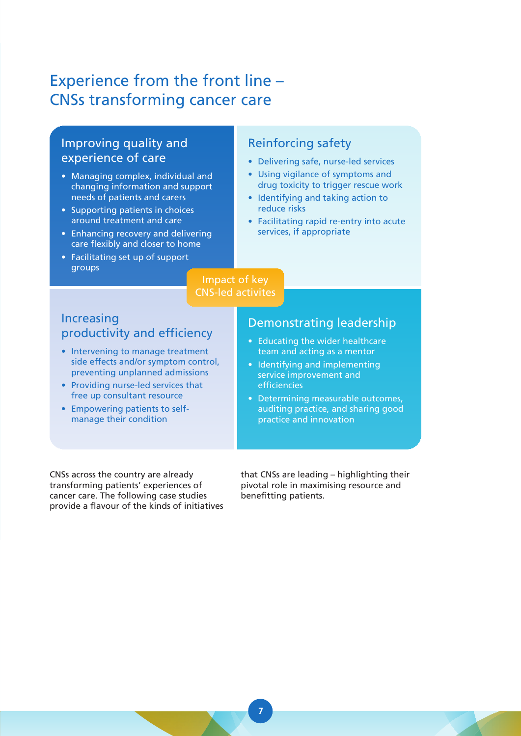# Experience from the front line – CNSs transforming cancer care

### Improving quality and experience of care

- Managing complex, individual and changing information and support needs of patients and carers
- Supporting patients in choices around treatment and care
- Enhancing recovery and delivering care flexibly and closer to home
- Facilitating set up of support groups

### Reinforcing safety

- Delivering safe, nurse-led services
- Using vigilance of symptoms and drug toxicity to trigger rescue work
- Identifying and taking action to reduce risks
- Facilitating rapid re-entry into acute services, if appropriate

### Impact of key CNS-led activites

### Increasing productivity and efficiency

- Intervening to manage treatment side effects and/or symptom control, preventing unplanned admissions
- Providing nurse-led services that free up consultant resource
- Empowering patients to selfmanage their condition

### Demonstrating leadership

- Educating the wider healthcare team and acting as a mentor
- Identifying and implementing service improvement and efficiencies
- Determining measurable outcomes, auditing practice, and sharing good practice and innovation

CNSs across the country are already transforming patients' experiences of cancer care. The following case studies provide a flavour of the kinds of initiatives that CNSs are leading – highlighting their pivotal role in maximising resource and benefitting patients.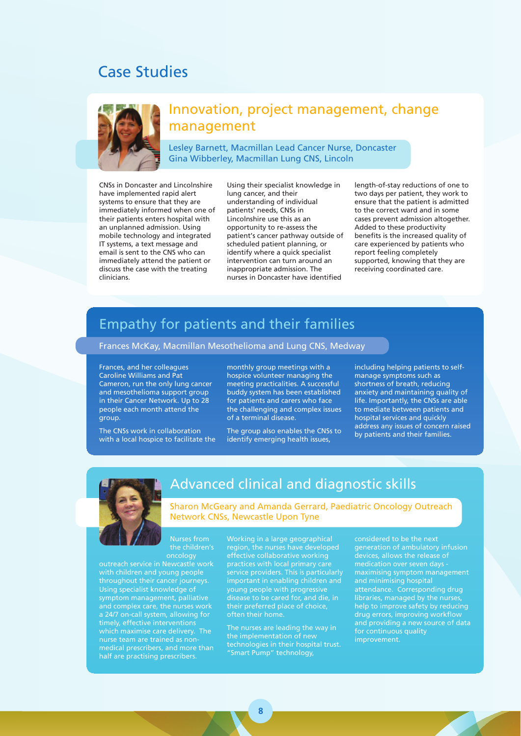## Case Studies



### Innovation, project management, change management

Lesley Barnett, Macmillan Lead Cancer Nurse, Doncaster Gina Wibberley, Macmillan Lung CNS, Lincoln

CNSs in Doncaster and Lincolnshire have implemented rapid alert systems to ensure that they are immediately informed when one of their patients enters hospital with an unplanned admission. Using mobile technology and integrated IT systems, a text message and email is sent to the CNS who can immediately attend the patient or discuss the case with the treating clinicians.

Using their specialist knowledge in lung cancer, and their understanding of individual patients' needs, CNSs in Lincolnshire use this as an opportunity to re-assess the patient's cancer pathway outside of scheduled patient planning, or identify where a quick specialist intervention can turn around an inappropriate admission. The nurses in Doncaster have identified

length-of-stay reductions of one to two days per patient, they work to ensure that the patient is admitted to the correct ward and in some cases prevent admission altogether. Added to these productivity benefits is the increased quality of care experienced by patients who report feeling completely supported, knowing that they are receiving coordinated care.

## Empathy for patients and their families

#### Frances McKay, Macmillan Mesothelioma and Lung CNS, Medway

Frances, and her colleagues Caroline Williams and Pat Cameron, run the only lung cancer and mesothelioma support group in their Cancer Network. Up to 28 people each month attend the group.

The CNSs work in collaboration with a local hospice to facilitate the monthly group meetings with a hospice volunteer managing the meeting practicalities. A successful buddy system has been established for patients and carers who face the challenging and complex issues of a terminal disease.

The group also enables the CNSs to identify emerging health issues,

including helping patients to selfmanage symptoms such as shortness of breath, reducing anxiety and maintaining quality of life. Importantly, the CNSs are able to mediate between patients and hospital services and quickly address any issues of concern raised by patients and their families.



### Advanced clinical and diagnostic skills

Sharon McGeary and Amanda Gerrard, Paediatric Oncology Outreach Network CNSs, Newcastle Upon Tyne

the children's oncology

outreach service in Newcastle work with children and young people throughout their cancer journeys. Using specialist knowledge of symptom management, palliative and complex care, the nurses work a 24/7 on-call system, allowing for timely, effective interventions which maximise care delivery. The nurse team are trained as nonmedical prescribers, and more than half are practising prescribers.

Working in a large geographical region, the nurses have developed effective collaborative working practices with local primary care service providers. This is particularly important in enabling children and young people with progressive disease to be cared for, and die, in their preferred place of choice, often their home.

The nurses are leading the way in the implementation of new technologies in their hospital trust. "Smart Pump" technology,

considered to be the next generation of ambulatory infusion devices, allows the release of medication over seven days maximising symptom management and minimising hospital attendance. Corresponding drug libraries, managed by the nurses, help to improve safety by reducing drug errors, improving workflow and providing a new source of data for continuous quality improvement.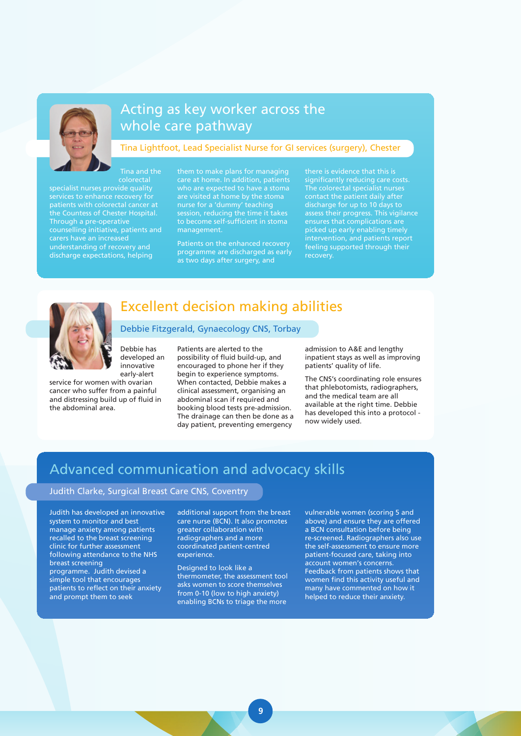

## Acting as key worker across the whole care pathway

#### Tina Lightfoot, Lead Specialist Nurse for GI services (surgery), Chester

colorectal specialist nurses provide quality services to enhance recovery for patients with colorectal cancer at the Countess of Chester Hospital. Through a pre-operative counselling initiative, patients and carers have an increased understanding of recovery and discharge expectations, helping

them to make plans for managing care at home. In addition, patients who are expected to have a stoma are visited at home by the stoma nurse for a 'dummy' teaching session, reducing the time it takes to become self-sufficient in stoma management.

Patients on the enhanced recovery programme are discharged as early as two days after surgery, and

there is evidence that this is significantly reducing care costs. The colorectal specialist nurses contact the patient daily after discharge for up to 10 days to assess their progress. This vigilance ensures that complications are picked up early enabling timely intervention, and patients report feeling supported through their recovery.



## Excellent decision making abilities Debbie Fitzgerald, Gynaecology CNS, Torbay

Debbie has developed an innovative early-alert

Tina and the

service for women with ovarian cancer who suffer from a painful and distressing build up of fluid in the abdominal area.

Patients are alerted to the possibility of fluid build-up, and encouraged to phone her if they begin to experience symptoms. When contacted, Debbie makes a clinical assessment, organising an abdominal scan if required and booking blood tests pre-admission. The drainage can then be done as a day patient, preventing emergency

admission to A&E and lengthy inpatient stays as well as improving patients' quality of life.

The CNS's coordinating role ensures that phlebotomists, radiographers, and the medical team are all available at the right time. Debbie has developed this into a protocol now widely used.

## Advanced communication and advocacy skills

#### Judith Clarke, Surgical Breast Care CNS, Coventry

Judith has developed an innovative system to monitor and best manage anxiety among patients recalled to the breast screening clinic for further assessment following attendance to the NHS breast screening programme. Judith devised a simple tool that encourages patients to reflect on their anxiety and prompt them to seek

additional support from the breast care nurse (BCN). It also promotes greater collaboration with radiographers and a more coordinated patient-centred experience.

Designed to look like a thermometer, the assessment tool asks women to score themselves from 0-10 (low to high anxiety) enabling BCNs to triage the more

vulnerable women (scoring 5 and above) and ensure they are offered a BCN consultation before being re-screened. Radiographers also use the self-assessment to ensure more patient-focused care, taking into account women's concerns. Feedback from patients shows that women find this activity useful and many have commented on how it helped to reduce their anxiety.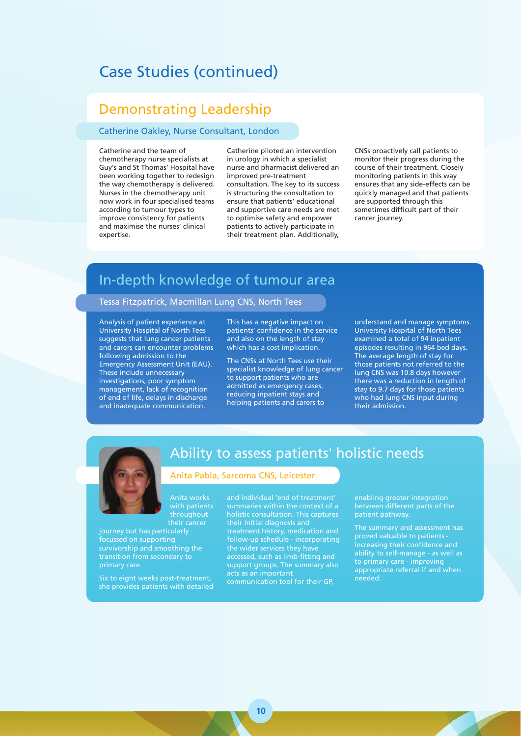## Case Studies (continued)

### Demonstrating Leadership

#### Catherine Oakley, Nurse Consultant, London

Catherine and the team of chemotherapy nurse specialists at Guy's and St Thomas' Hospital have been working together to redesign the way chemotherapy is delivered. Nurses in the chemotherapy unit now work in four specialised teams according to tumour types to improve consistency for patients and maximise the nurses' clinical expertise.

Catherine piloted an intervention in urology in which a specialist nurse and pharmacist delivered an improved pre-treatment consultation. The key to its success is structuring the consultation to ensure that patients' educational and supportive care needs are met to optimise safety and empower patients to actively participate in their treatment plan. Additionally,

CNSs proactively call patients to monitor their progress during the course of their treatment. Closely monitoring patients in this way ensures that any side-effects can be quickly managed and that patients are supported through this sometimes difficult part of their cancer journey.

## In-depth knowledge of tumour area

#### Tessa Fitzpatrick, Macmillan Lung CNS, North Tees

Analysis of patient experience at University Hospital of North Tees suggests that lung cancer patients and carers can encounter problems following admission to the Emergency Assessment Unit (EAU). These include unnecessary investigations, poor symptom management, lack of recognition of end of life, delays in discharge and inadequate communication.

This has a negative impact on patients' confidence in the service and also on the length of stay which has a cost implication.

The CNSs at North Tees use their specialist knowledge of lung cancer to support patients who are admitted as emergency cases, reducing inpatient stays and helping patients and carers to

understand and manage symptoms. University Hospital of North Tees examined a total of 94 inpatient episodes resulting in 964 bed days. The average length of stay for those patients not referred to the lung CNS was 10.8 days however there was a reduction in length of stay to 9.7 days for those patients who had lung CNS input during their admission.



### Ability to assess patients' holistic needs

#### Anita Pabla, Sarcoma CNS, Leicester

with patients throughout their cancer

journey but has particularly focussed on supporting survivorship and smoothing the transition from secondary to primary care.

Six to eight weeks post-treatment, she provides patients with detailed and individual 'end of treatment' holistic consultation. This captures their initial diagnosis and treatment history, medication and follow-up schedule - incorporating the wider services they have accessed, such as limb-fitting and support groups. The summary also acts as an important

communication tool for their GP,

enabling greater integration between different parts of the patient pathway.

The summary and assessment has proved valuable to patients increasing their confidence and ability to self-manage - as well as to primary care - improving appropriate referral if and when needed.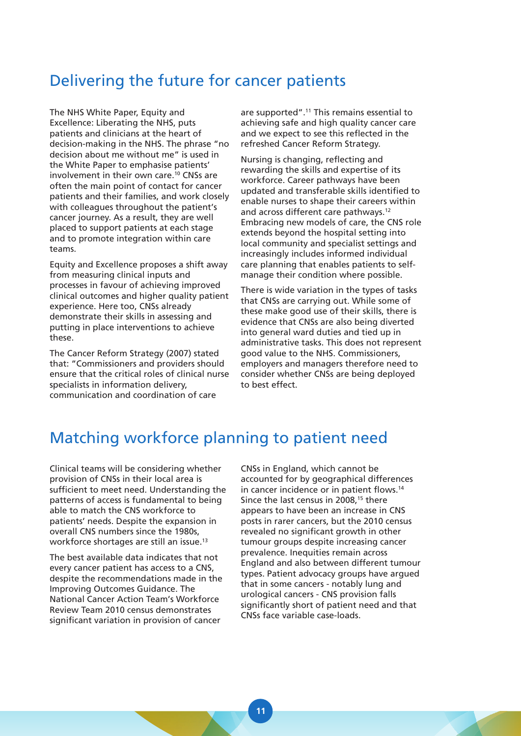## Delivering the future for cancer patients

The NHS White Paper, Equity and Excellence: Liberating the NHS, puts patients and clinicians at the heart of decision-making in the NHS. The phrase "no decision about me without me" is used in the White Paper to emphasise patients' involvement in their own care.10 CNSs are often the main point of contact for cancer patients and their families, and work closely with colleagues throughout the patient's cancer journey. As a result, they are well placed to support patients at each stage and to promote integration within care teams.

Equity and Excellence proposes a shift away from measuring clinical inputs and processes in favour of achieving improved clinical outcomes and higher quality patient experience. Here too, CNSs already demonstrate their skills in assessing and putting in place interventions to achieve these.

The Cancer Reform Strategy (2007) stated that: "Commissioners and providers should ensure that the critical roles of clinical nurse specialists in information delivery, communication and coordination of care

are supported".11 This remains essential to achieving safe and high quality cancer care and we expect to see this reflected in the refreshed Cancer Reform Strategy.

Nursing is changing, reflecting and rewarding the skills and expertise of its workforce. Career pathways have been updated and transferable skills identified to enable nurses to shape their careers within and across different care pathways.<sup>12</sup> Embracing new models of care, the CNS role extends beyond the hospital setting into local community and specialist settings and increasingly includes informed individual care planning that enables patients to selfmanage their condition where possible.

There is wide variation in the types of tasks that CNSs are carrying out. While some of these make good use of their skills, there is evidence that CNSs are also being diverted into general ward duties and tied up in administrative tasks. This does not represent good value to the NHS. Commissioners, employers and managers therefore need to consider whether CNSs are being deployed to best effect.

## Matching workforce planning to patient need

Clinical teams will be considering whether provision of CNSs in their local area is sufficient to meet need. Understanding the patterns of access is fundamental to being able to match the CNS workforce to patients' needs. Despite the expansion in overall CNS numbers since the 1980s, workforce shortages are still an issue.<sup>13</sup>

The best available data indicates that not every cancer patient has access to a CNS, despite the recommendations made in the Improving Outcomes Guidance. The National Cancer Action Team's Workforce Review Team 2010 census demonstrates significant variation in provision of cancer

CNSs in England, which cannot be accounted for by geographical differences in cancer incidence or in patient flows.14 Since the last census in 2008,<sup>15</sup> there appears to have been an increase in CNS posts in rarer cancers, but the 2010 census revealed no significant growth in other tumour groups despite increasing cancer prevalence. Inequities remain across England and also between different tumour types. Patient advocacy groups have argued that in some cancers - notably lung and urological cancers - CNS provision falls significantly short of patient need and that CNSs face variable case-loads.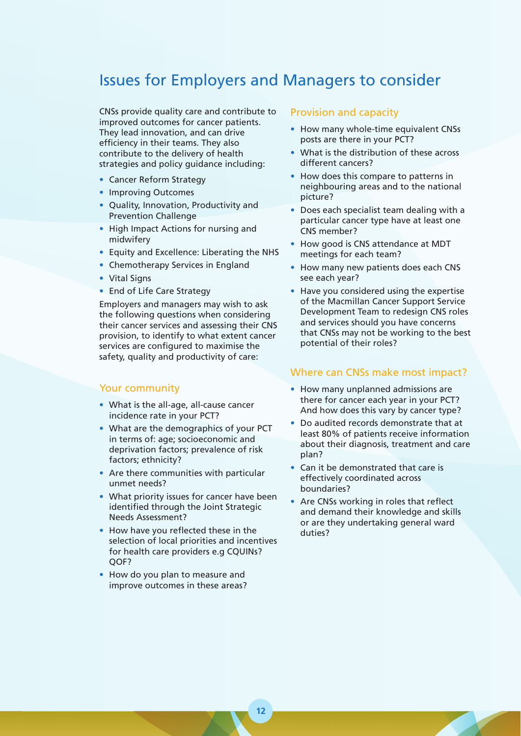## Issues for Employers and Managers to consider

CNSs provide quality care and contribute to improved outcomes for cancer patients. They lead innovation, and can drive efficiency in their teams. They also contribute to the delivery of health strategies and policy guidance including:

- Cancer Reform Strategy
- Improving Outcomes
- Quality, Innovation, Productivity and Prevention Challenge
- High Impact Actions for nursing and midwifery
- Equity and Excellence: Liberating the NHS
- Chemotherapy Services in England
- Vital Signs
- End of Life Care Strategy

Employers and managers may wish to ask the following questions when considering their cancer services and assessing their CNS provision, to identify to what extent cancer services are configured to maximise the safety, quality and productivity of care:

#### Your community

- What is the all-age, all-cause cancer incidence rate in your PCT?
- What are the demographics of your PCT in terms of: age; socioeconomic and deprivation factors; prevalence of risk factors; ethnicity?
- Are there communities with particular unmet needs?
- What priority issues for cancer have been identified through the Joint Strategic Needs Assessment?
- How have you reflected these in the selection of local priorities and incentives for health care providers e.g CQUINs? QOF?
- How do you plan to measure and improve outcomes in these areas?

#### Provision and capacity

- How many whole-time equivalent CNSs posts are there in your PCT?
- What is the distribution of these across different cancers?
- How does this compare to patterns in neighbouring areas and to the national picture?
- Does each specialist team dealing with a particular cancer type have at least one CNS member?
- How good is CNS attendance at MDT meetings for each team?
- How many new patients does each CNS see each year?
- Have you considered using the expertise of the Macmillan Cancer Support Service Development Team to redesign CNS roles and services should you have concerns that CNSs may not be working to the best potential of their roles?

#### Where can CNSs make most impact?

- How many unplanned admissions are there for cancer each year in your PCT? And how does this vary by cancer type?
- Do audited records demonstrate that at least 80% of patients receive information about their diagnosis, treatment and care plan?
- Can it be demonstrated that care is effectively coordinated across boundaries?
- Are CNSs working in roles that reflect and demand their knowledge and skills or are they undertaking general ward duties?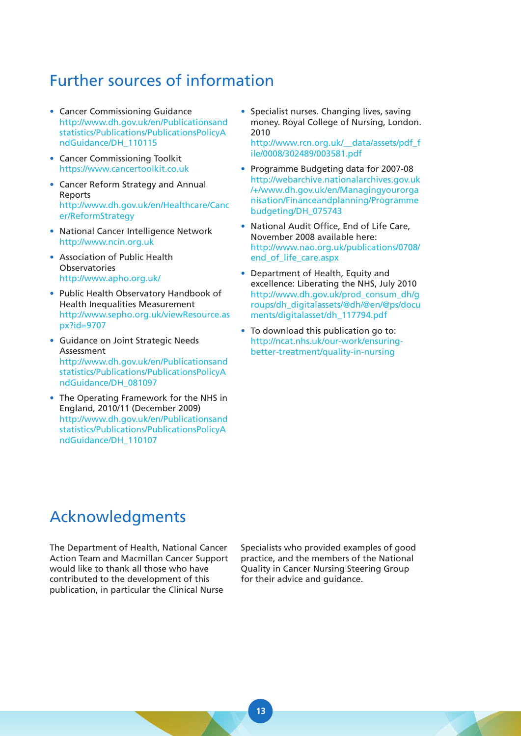# Further sources of information

- Cancer Commissioning Guidance [http://www.dh.gov.uk/en/Publicationsand](http://www.dh.gov.uk/en/Publicationsandstatistics/Publications/PublicationsPolicyAndGuidance/DH_110115) statistics/Publications/PublicationsPolicyA ndGuidance/DH\_110115
- Cancer Commissioning Toolkit https://www.cancertoolkit.co.uk
- Cancer Reform Strategy and Annual Reports [http://www.dh.gov.uk/en/Healthcare/Canc](http://www.dh.gov.uk/en/Healthcare/Cancer/ReformStrategy) er/ReformStrategy
- National Cancer Intelligence Network http://www.ncin.org.uk
- Association of Public Health Observatories http://www.apho.org.uk/
- Public Health Observatory Handbook of Health Inequalities Measurement [http://www.sepho.org.uk/viewResource.as](http://www.sepho.org.uk/viewResource.aspx?id=9707) px?id=9707
- Guidance on Joint Strategic Needs Assessment [http://www.dh.gov.uk/en/Publicationsand](http://www.dh.gov.uk/en/Publicationsandstatistics/Publications/PublicationsPolicyAndGuidance/DH_081097) statistics/Publications/PublicationsPolicyA ndGuidance/DH\_081097
- The Operating Framework for the NHS in England, 2010/11 (December 2009) [http://www.dh.gov.uk/en/Publicationsand](http://www.dh.gov.uk/en/Publicationsandstatistics/Publications/PublicationsPolicyAndGuidance/DH_110107) statistics/Publications/PublicationsPolicyA ndGuidance/DH\_110107

• Specialist nurses. Changing lives, saving money. Royal College of Nursing, London. 2010

[http://www.rcn.org.uk/\\_\\_data/assets/pdf\\_f](http://www.rcn.org.uk/__data/assets/pdf_file/0008/302489/003581.pdf) ile/0008/302489/003581.pdf

- Programme Budgeting data for 2007-08 [http://webarchive.nationalarchives.gov.uk](http://webarchive.nationalarchives.gov.uk/+/www.dh.gov.uk/en/Managingyourorganisation/Financeandplanning/Programmebudgeting/DH_075743) /+/www.dh.gov.uk/en/Managingyourorga nisation/Financeandplanning/Programme budgeting/DH\_075743
- National Audit Office, End of Life Care, November 2008 available here: [http://www.nao.org.uk/publications/0708/](http://www.nao.org.uk/publications/0708/end_of_life_care.aspx) end\_of\_life\_care.aspx
- Department of Health, Equity and excellence: Liberating the NHS, July 2010 http://www.dh.gov.uk/prod\_consum\_dh/g [roups/dh\\_digitalassets/@dh/@en/@ps/docu](http://www.dh.gov.uk/prod_consum_dh/groups/dh_digitalassets/@dh/@en/@ps/documents/digitalasset/dh_117794.pdf) ments/digitalasset/dh\_117794.pdf
- To download this publication go to: [http://ncat.nhs.uk/our-work/ensuring](http://ncat.nhs.uk/our-work/ensuringbetter-treatment/quality-in-nursing)better-treatment/quality-in-nursing

## Acknowledgments

The Department of Health, National Cancer Action Team and Macmillan Cancer Support would like to thank all those who have contributed to the development of this publication, in particular the Clinical Nurse

Specialists who provided examples of good practice, and the members of the National Quality in Cancer Nursing Steering Group for their advice and guidance.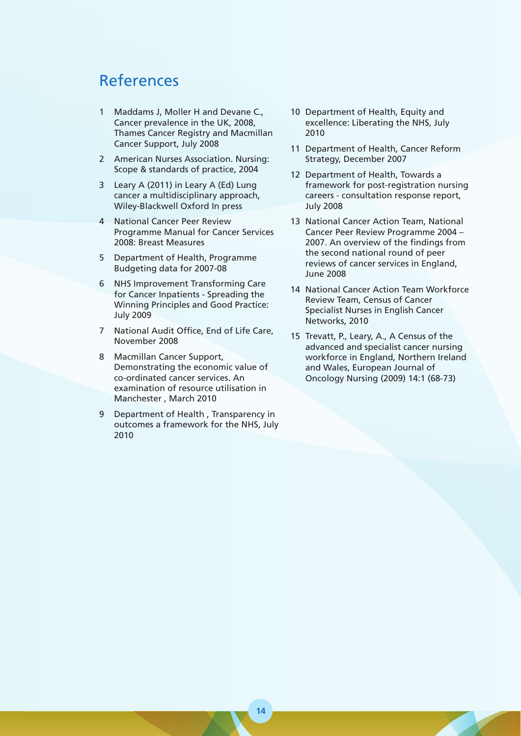## References

- 1 Maddams J, Moller H and Devane C., Cancer prevalence in the UK, 2008, Thames Cancer Registry and Macmillan Cancer Support, July 2008
- 2 American Nurses Association. Nursing: Scope & standards of practice, 2004
- 3 Leary A (2011) in Leary A (Ed) Lung cancer a multidisciplinary approach, Wiley-Blackwell Oxford In press
- 4 National Cancer Peer Review Programme Manual for Cancer Services 2008: Breast Measures
- 5 Department of Health, Programme Budgeting data for 2007-08
- 6 NHS Improvement Transforming Care for Cancer Inpatients - Spreading the Winning Principles and Good Practice: July 2009
- 7 National Audit Office, End of Life Care, November 2008
- 8 Macmillan Cancer Support, Demonstrating the economic value of co-ordinated cancer services. An examination of resource utilisation in Manchester , March 2010
- 9 Department of Health , Transparency in outcomes a framework for the NHS, July 2010
- 10 Department of Health, Equity and excellence: Liberating the NHS, July 2010
- 11 Department of Health, Cancer Reform Strategy, December 2007
- 12 Department of Health, Towards a framework for post-registration nursing careers - consultation response report, July 2008
- 13 National Cancer Action Team, National Cancer Peer Review Programme 2004 – 2007. An overview of the findings from the second national round of peer reviews of cancer services in England, June 2008
- 14 National Cancer Action Team Workforce Review Team, Census of Cancer Specialist Nurses in English Cancer Networks, 2010
- 15 Trevatt, P., Leary, A., A Census of the advanced and specialist cancer nursing workforce in England, Northern Ireland and Wales, European Journal of Oncology Nursing (2009) 14:1 (68-73)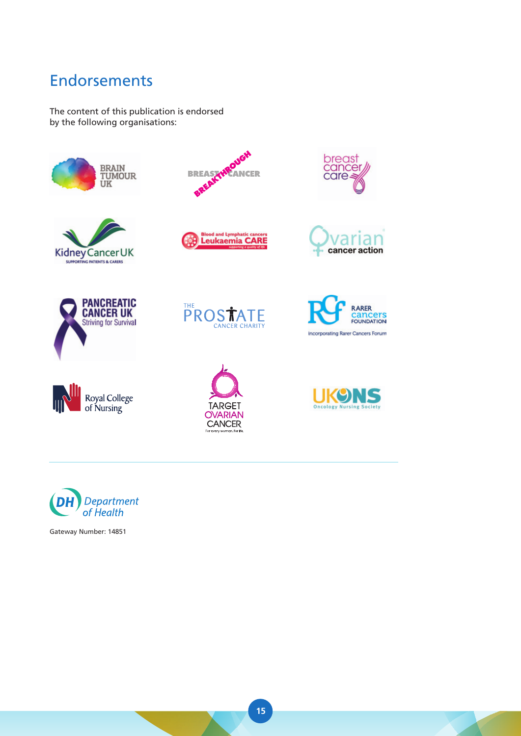# Endorsements

The content of this publication is endorsed by the following organisations:



























Gateway Number: 14851